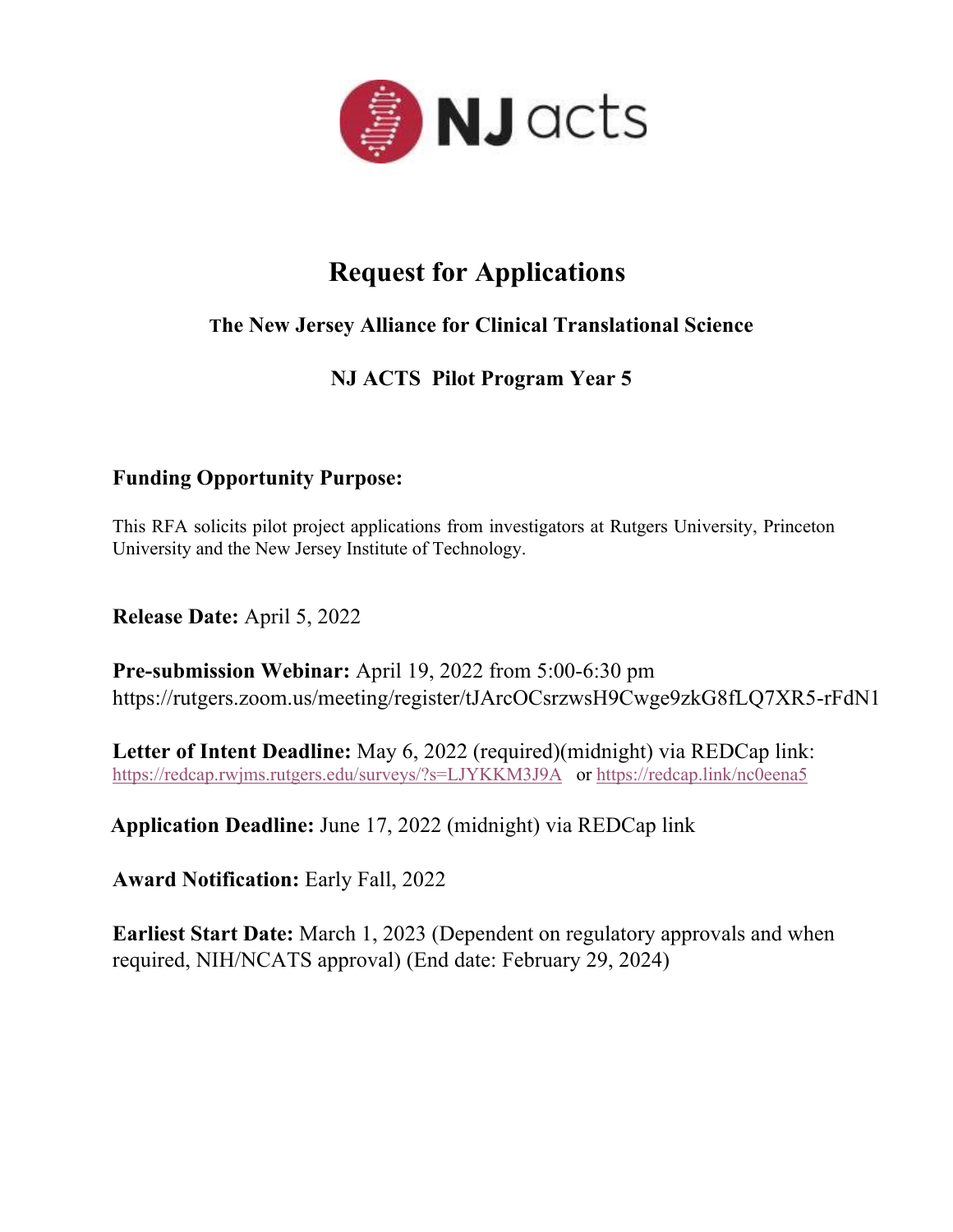

## **Request for Applications**

### **The New Jersey Alliance for Clinical Translational Science**

## **NJ ACTS Pilot Program Year 5**

### **Funding Opportunity Purpose:**

This RFA solicits pilot project applications from investigators at Rutgers University, Princeton University and the New Jersey Institute of Technology.

**Release Date:** April 5, 2022

**Pre-submission Webinar:** April 19, 2022 from 5:00-6:30 pm https://rutgers.zoom.us/meeting/register/tJArcOCsrzwsH9Cwge9zkG8fLQ7XR5-rFdN1

**Letter of Intent Deadline:** May 6, 2022 (required)(midnight) via REDCap link: https://redcap.rwjms.rutgers.edu/surveys/?s=LJYKKM3J9A or https://redcap.link/nc0eena5

**Application Deadline:** June 17, 2022 (midnight) via REDCap link

**Award Notification:** Early Fall, 2022

**Earliest Start Date:** March 1, 2023 (Dependent on regulatory approvals and when required, NIH/NCATS approval) (End date: February 29, 2024)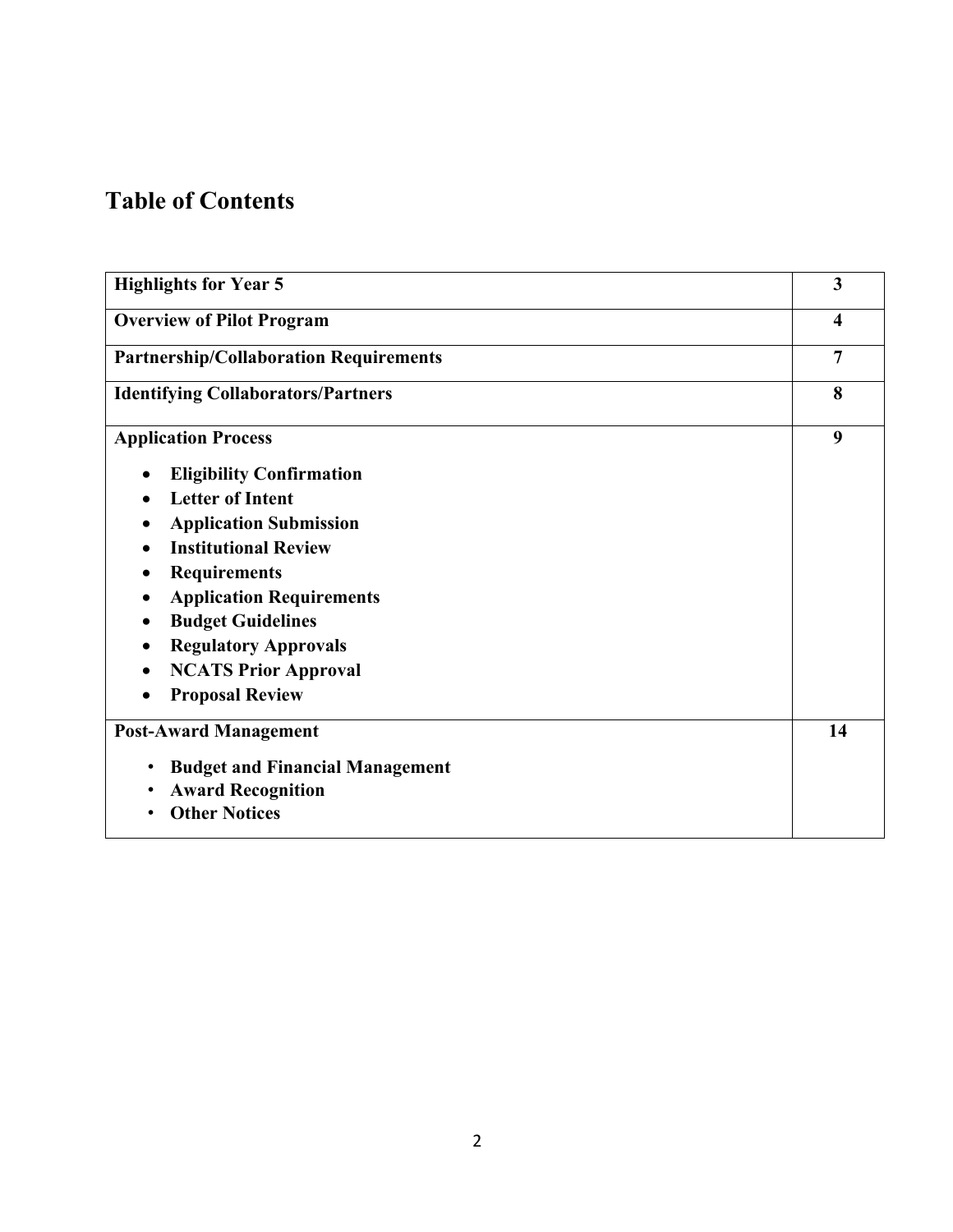## **Table of Contents**

| <b>Highlights for Year 5</b>                        | 3                   |
|-----------------------------------------------------|---------------------|
| <b>Overview of Pilot Program</b>                    | $\overline{\bf{4}}$ |
| <b>Partnership/Collaboration Requirements</b>       | $\overline{7}$      |
| <b>Identifying Collaborators/Partners</b>           | 8                   |
| <b>Application Process</b>                          | 9                   |
| <b>Eligibility Confirmation</b>                     |                     |
| <b>Letter of Intent</b>                             |                     |
| <b>Application Submission</b>                       |                     |
| <b>Institutional Review</b>                         |                     |
| <b>Requirements</b>                                 |                     |
| <b>Application Requirements</b>                     |                     |
| <b>Budget Guidelines</b>                            |                     |
| <b>Regulatory Approvals</b>                         |                     |
| <b>NCATS Prior Approval</b>                         |                     |
| <b>Proposal Review</b>                              |                     |
| <b>Post-Award Management</b>                        | 14                  |
| <b>Budget and Financial Management</b><br>$\bullet$ |                     |
| <b>Award Recognition</b><br>$\bullet$               |                     |
| <b>Other Notices</b><br>$\bullet$                   |                     |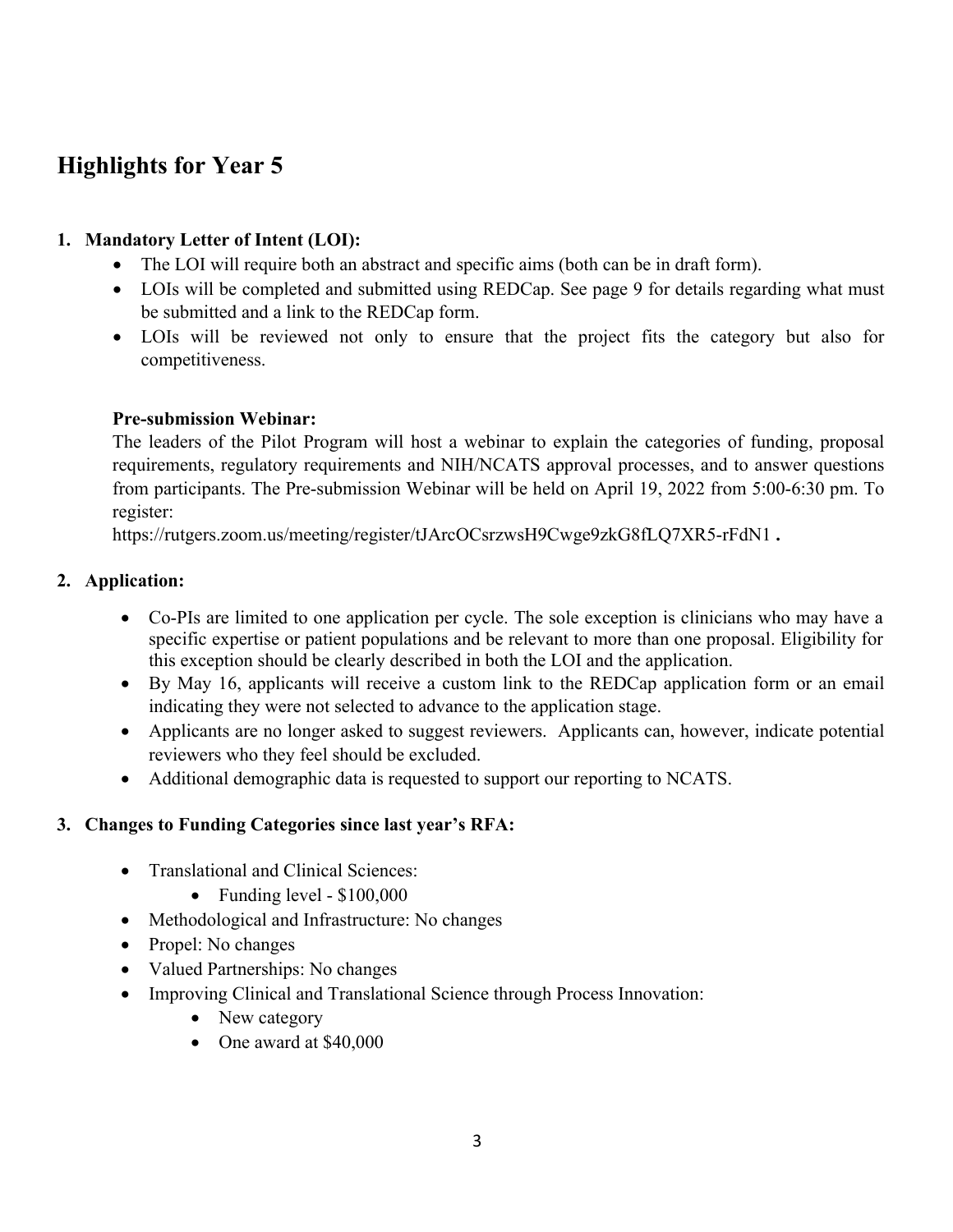## **Highlights for Year 5**

#### **1. Mandatory Letter of Intent (LOI):**

- The LOI will require both an abstract and specific aims (both can be in draft form).
- LOIs will be completed and submitted using REDCap. See page 9 for details regarding what must be submitted and a link to the REDCap form.
- LOIs will be reviewed not only to ensure that the project fits the category but also for competitiveness.

#### **Pre-submission Webinar:**

The leaders of the Pilot Program will host a webinar to explain the categories of funding, proposal requirements, regulatory requirements and NIH/NCATS approval processes, and to answer questions from participants. The Pre-submission Webinar will be held on April 19, 2022 from 5:00-6:30 pm. To register:

https://rutgers.zoom.us/meeting/register/tJArcOCsrzwsH9Cwge9zkG8fLQ7XR5-rFdN1 **.**

#### **2. Application:**

- Co-PIs are limited to one application per cycle. The sole exception is clinicians who may have a specific expertise or patient populations and be relevant to more than one proposal. Eligibility for this exception should be clearly described in both the LOI and the application.
- By May 16, applicants will receive a custom link to the REDCap application form or an email indicating they were not selected to advance to the application stage.
- Applicants are no longer asked to suggest reviewers. Applicants can, however, indicate potential reviewers who they feel should be excluded.
- Additional demographic data is requested to support our reporting to NCATS.

#### **3. Changes to Funding Categories since last year's RFA:**

- Translational and Clinical Sciences:
	- Funding level \$100,000
- Methodological and Infrastructure: No changes
- Propel: No changes
- Valued Partnerships: No changes
- Improving Clinical and Translational Science through Process Innovation:
	- New category
	- One award at \$40,000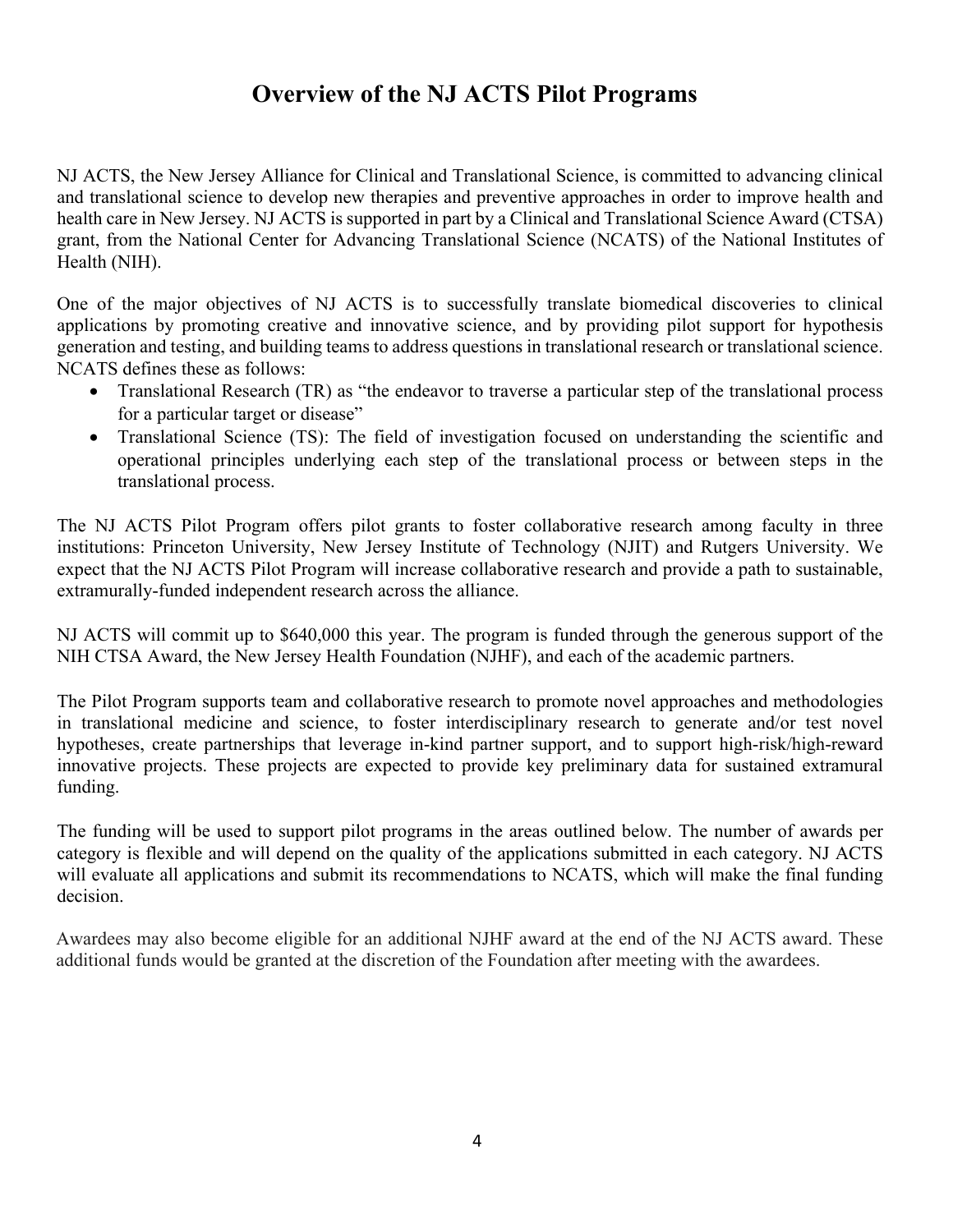## **Overview of the NJ ACTS Pilot Programs**

NJ ACTS, the New Jersey Alliance for Clinical and Translational Science, is committed to advancing clinical and translational science to develop new therapies and preventive approaches in order to improve health and health care in New Jersey. NJ ACTS is supported in part by a Clinical and Translational Science Award (CTSA) grant, from the National Center for Advancing Translational Science (NCATS) of the National Institutes of Health (NIH).

One of the major objectives of NJ ACTS is to successfully translate biomedical discoveries to clinical applications by promoting creative and innovative science, and by providing pilot support for hypothesis generation and testing, and building teams to address questions in translational research or translational science. NCATS defines these as follows:

- Translational Research (TR) as "the endeavor to traverse a particular step of the translational process for a particular target or disease"
- Translational Science (TS): The field of investigation focused on understanding the scientific and operational principles underlying each step of the translational process or between steps in the translational process.

The NJ ACTS Pilot Program offers pilot grants to foster collaborative research among faculty in three institutions: Princeton University, New Jersey Institute of Technology (NJIT) and Rutgers University. We expect that the NJ ACTS Pilot Program will increase collaborative research and provide a path to sustainable, extramurally-funded independent research across the alliance.

NJ ACTS will commit up to \$640,000 this year. The program is funded through the generous support of the NIH CTSA Award, the New Jersey Health Foundation (NJHF), and each of the academic partners.

The Pilot Program supports team and collaborative research to promote novel approaches and methodologies in translational medicine and science, to foster interdisciplinary research to generate and/or test novel hypotheses, create partnerships that leverage in-kind partner support, and to support high-risk/high-reward innovative projects. These projects are expected to provide key preliminary data for sustained extramural funding.

The funding will be used to support pilot programs in the areas outlined below. The number of awards per category is flexible and will depend on the quality of the applications submitted in each category. NJ ACTS will evaluate all applications and submit its recommendations to NCATS, which will make the final funding decision.

Awardees may also become eligible for an additional NJHF award at the end of the NJ ACTS award. These additional funds would be granted at the discretion of the Foundation after meeting with the awardees.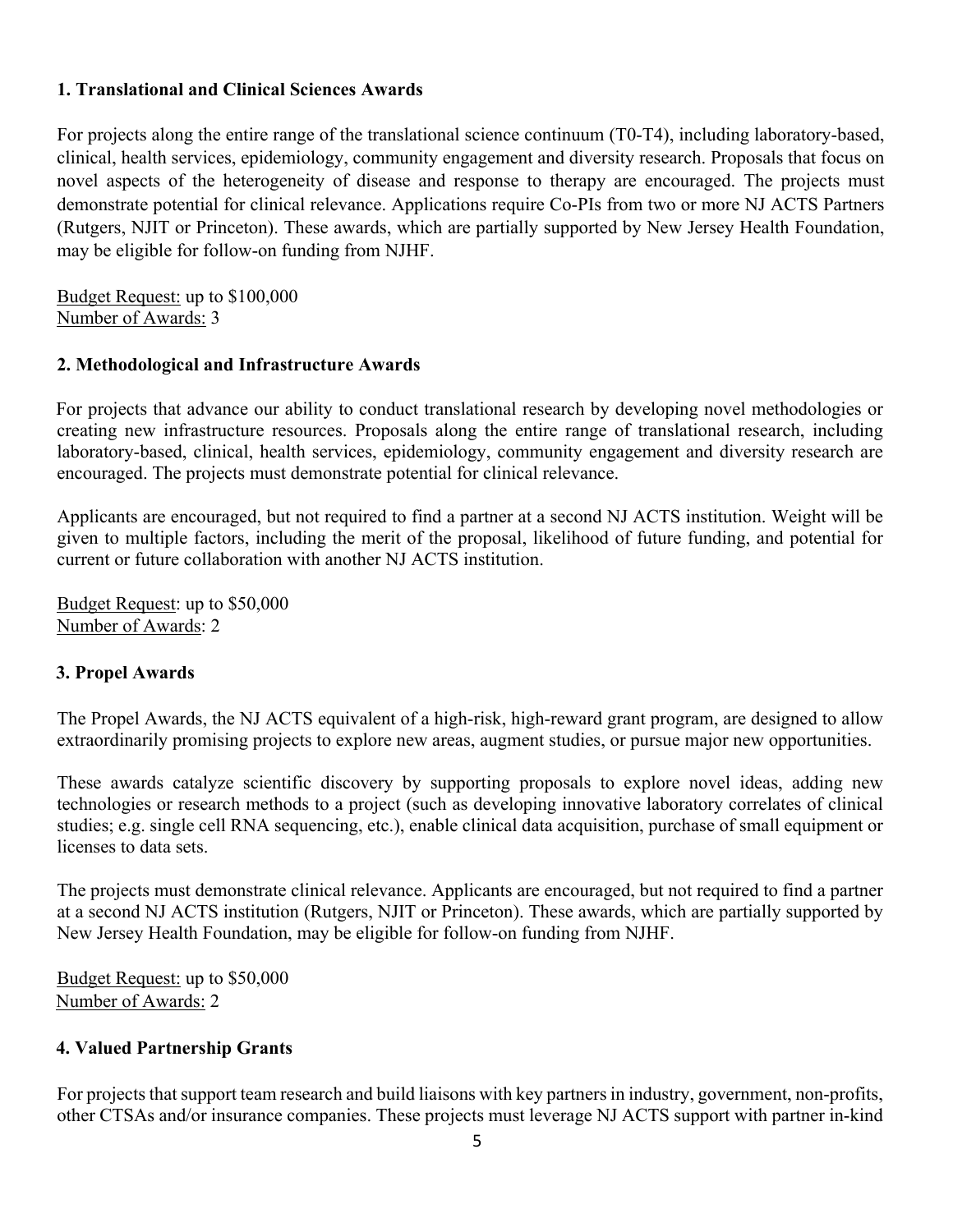#### **1. Translational and Clinical Sciences Awards**

For projects along the entire range of the translational science continuum (T0-T4), including laboratory-based, clinical, health services, epidemiology, community engagement and diversity research. Proposals that focus on novel aspects of the heterogeneity of disease and response to therapy are encouraged. The projects must demonstrate potential for clinical relevance. Applications require Co-PIs from two or more NJ ACTS Partners (Rutgers, NJIT or Princeton). These awards, which are partially supported by New Jersey Health Foundation, may be eligible for follow-on funding from NJHF.

Budget Request: up to \$100,000 Number of Awards: 3

#### **2. Methodological and Infrastructure Awards**

For projects that advance our ability to conduct translational research by developing novel methodologies or creating new infrastructure resources. Proposals along the entire range of translational research, including laboratory-based, clinical, health services, epidemiology, community engagement and diversity research are encouraged. The projects must demonstrate potential for clinical relevance.

Applicants are encouraged, but not required to find a partner at a second NJ ACTS institution. Weight will be given to multiple factors, including the merit of the proposal, likelihood of future funding, and potential for current or future collaboration with another NJ ACTS institution.

Budget Request: up to \$50,000 Number of Awards: 2

#### **3. Propel Awards**

The Propel Awards, the NJ ACTS equivalent of a high-risk, high-reward grant program, are designed to allow extraordinarily promising projects to explore new areas, augment studies, or pursue major new opportunities.

These awards catalyze scientific discovery by supporting proposals to explore novel ideas, adding new technologies or research methods to a project (such as developing innovative laboratory correlates of clinical studies; e.g. single cell RNA sequencing, etc.), enable clinical data acquisition, purchase of small equipment or licenses to data sets.

The projects must demonstrate clinical relevance. Applicants are encouraged, but not required to find a partner at a second NJ ACTS institution (Rutgers, NJIT or Princeton). These awards, which are partially supported by New Jersey Health Foundation, may be eligible for follow-on funding from NJHF.

Budget Request: up to \$50,000 Number of Awards: 2

#### **4. Valued Partnership Grants**

For projects that support team research and build liaisons with key partners in industry, government, non-profits, other CTSAs and/or insurance companies. These projects must leverage NJ ACTS support with partner in-kind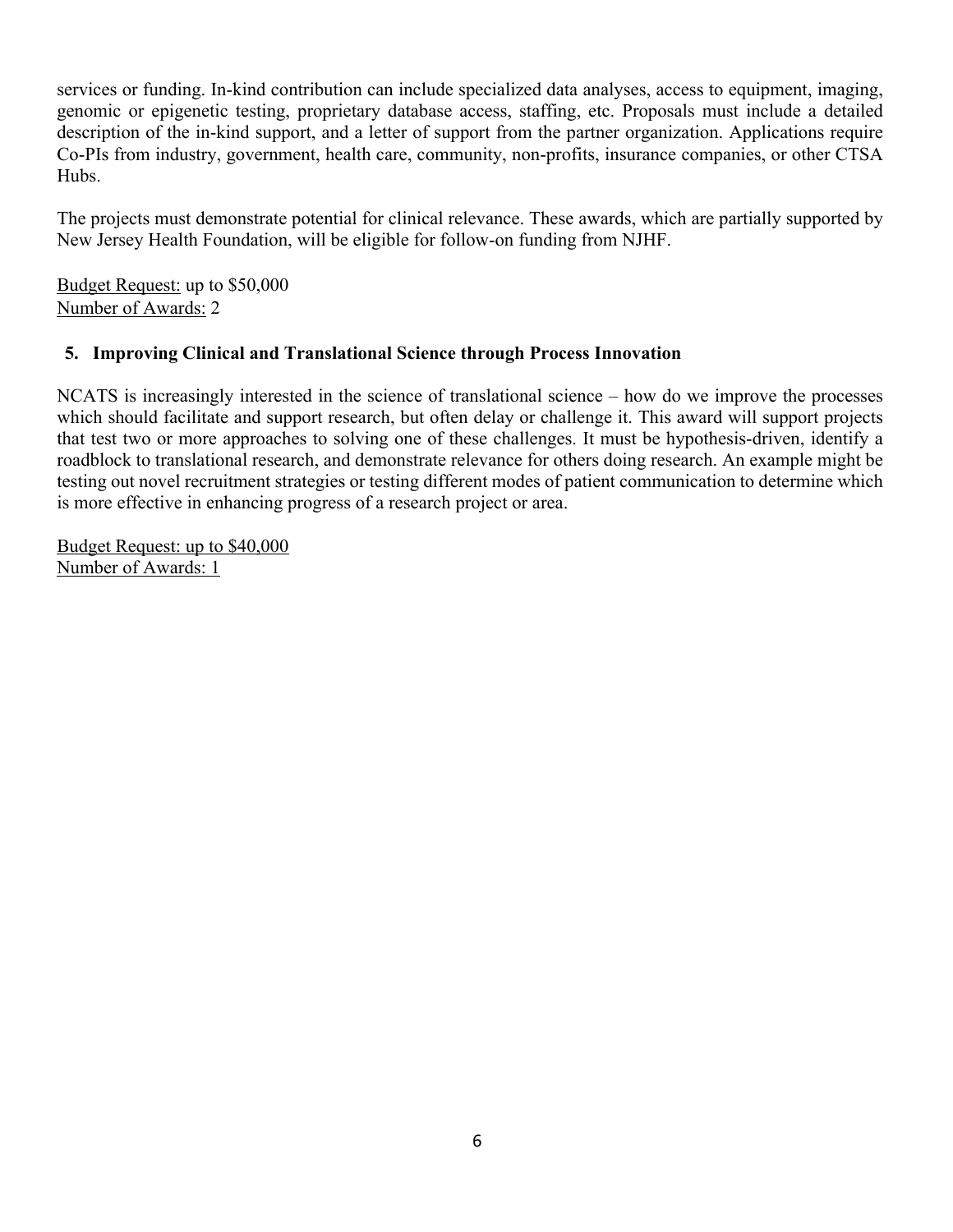services or funding. In-kind contribution can include specialized data analyses, access to equipment, imaging, genomic or epigenetic testing, proprietary database access, staffing, etc. Proposals must include a detailed description of the in-kind support, and a letter of support from the partner organization. Applications require Co-PIs from industry, government, health care, community, non-profits, insurance companies, or other CTSA Hubs.

The projects must demonstrate potential for clinical relevance. These awards, which are partially supported by New Jersey Health Foundation, will be eligible for follow-on funding from NJHF.

Budget Request: up to \$50,000 Number of Awards: 2

#### **5. Improving Clinical and Translational Science through Process Innovation**

NCATS is increasingly interested in the science of translational science – how do we improve the processes which should facilitate and support research, but often delay or challenge it. This award will support projects that test two or more approaches to solving one of these challenges. It must be hypothesis-driven, identify a roadblock to translational research, and demonstrate relevance for others doing research. An example might be testing out novel recruitment strategies or testing different modes of patient communication to determine which is more effective in enhancing progress of a research project or area.

Budget Request: up to \$40,000 Number of Awards: 1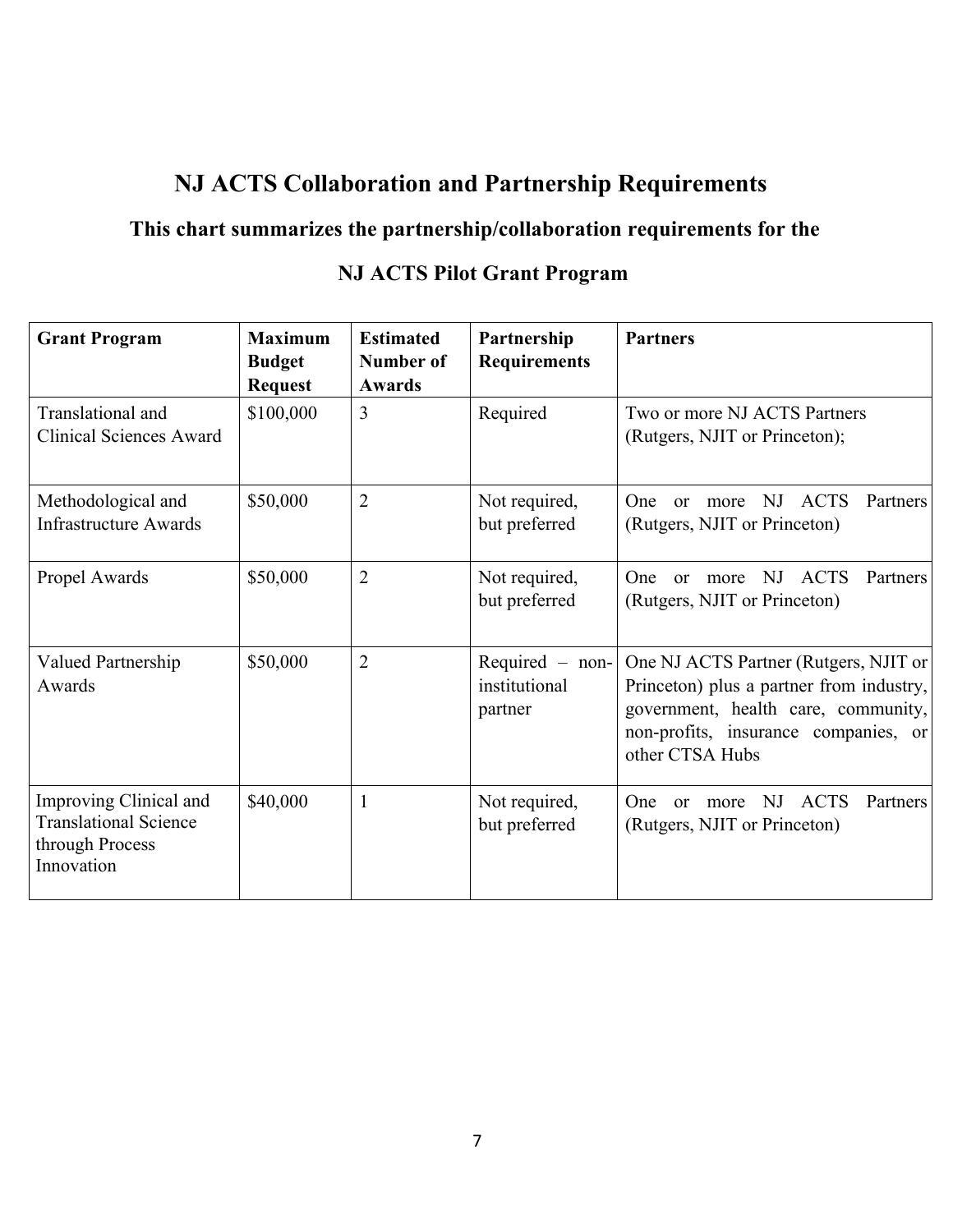## **NJ ACTS Collaboration and Partnership Requirements**

### **This chart summarizes the partnership/collaboration requirements for the**

#### Grant Program | Maximum **Budget Request Estimated Number of Awards Partnership Requirements Partners**  Translational and Clinical Sciences Award \$100,000 3 Required Two or more NJ ACTS Partners (Rutgers, NJIT or Princeton); Methodological and Infrastructure Awards \$50,000 | 2 | Not required, but preferred One or more NJ ACTS Partners (Rutgers, NJIT or Princeton) Propel Awards  $\begin{array}{|c|c|c|c|c|} \hline \text{S50,000} & 2 & \text{Not required,} \hline \end{array}$ but preferred One or more NJ ACTS Partners (Rutgers, NJIT or Princeton) Valued Partnership Awards  $$50,000$  | 2 Required – noninstitutional partner One NJ ACTS Partner (Rutgers, NJIT or Princeton) plus a partner from industry, government, health care, community, non-profits, insurance companies, or other CTSA Hubs Improving Clinical and Translational Science through Process Innovation \$40,000 | 1 | Not required, but preferred One or more NJ ACTS Partners (Rutgers, NJIT or Princeton)

### **NJ ACTS Pilot Grant Program**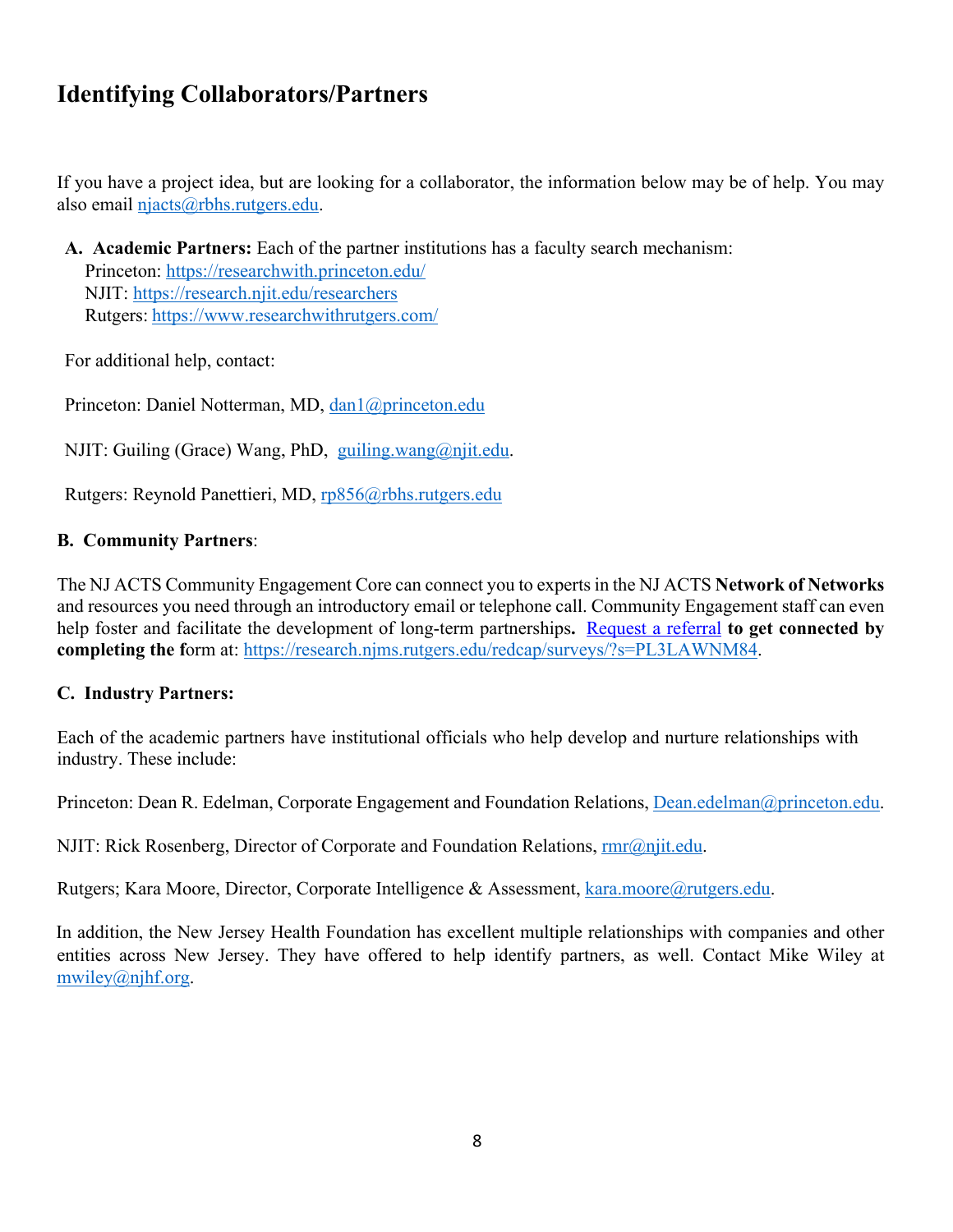## **Identifying Collaborators/Partners**

If you have a project idea, but are looking for a collaborator, the information below may be of help. You may also email njacts@rbhs.rutgers.edu.

**A. Academic Partners:** Each of the partner institutions has a faculty search mechanism: Princeton: https://researchwith.princeton.edu/ NJIT: https://research.njit.edu/researchers Rutgers: https://www.researchwithrutgers.com/

For additional help, contact:

Princeton: Daniel Notterman, MD, dan1@princeton.edu

NJIT: Guiling (Grace) Wang, PhD, guiling.wang@njit.edu.

Rutgers: Reynold Panettieri, MD, rp856@rbhs.rutgers.edu

#### **B. Community Partners**:

The NJ ACTS Community Engagement Core can connect you to experts in the NJ ACTS **Network of Networks** and resources you need through an introductory email or telephone call. Community Engagement staff can even help foster and facilitate the development of long-term partnerships**.** Request a referral **to get connected by completing the f**orm at: https://research.njms.rutgers.edu/redcap/surveys/?s=PL3LAWNM84.

#### **C. Industry Partners:**

Each of the academic partners have institutional officials who help develop and nurture relationships with industry. These include:

Princeton: Dean R. Edelman, Corporate Engagement and Foundation Relations, Dean.edelman@princeton.edu.

NJIT: Rick Rosenberg, Director of Corporate and Foundation Relations, **rmr@njit.edu**.

Rutgers; Kara Moore, Director, Corporate Intelligence & Assessment, kara.moore@rutgers.edu.

In addition, the New Jersey Health Foundation has excellent multiple relationships with companies and other entities across New Jersey. They have offered to help identify partners, as well. Contact Mike Wiley at mwiley@nihf.org.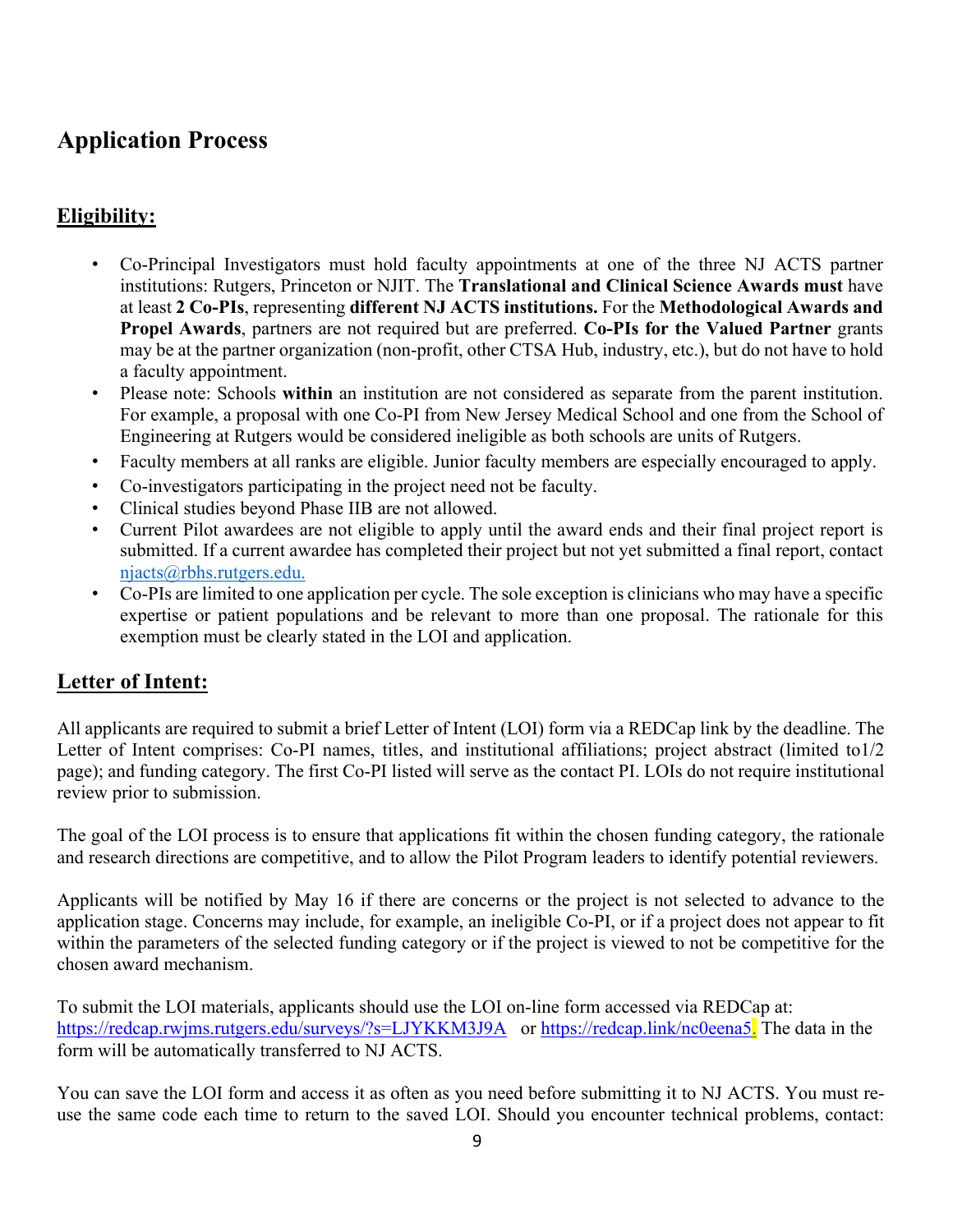## **Application Process**

### **Eligibility:**

- Co-Principal Investigators must hold faculty appointments at one of the three NJ ACTS partner institutions: Rutgers, Princeton or NJIT. The **Translational and Clinical Science Awards must** have at least **2 Co-PIs**, representing **different NJ ACTS institutions.** For the **Methodological Awards and Propel Awards**, partners are not required but are preferred. **Co-PIs for the Valued Partner** grants may be at the partner organization (non-profit, other CTSA Hub, industry, etc.), but do not have to hold a faculty appointment.
- Please note: Schools **within** an institution are not considered as separate from the parent institution. For example, a proposal with one Co-PI from New Jersey Medical School and one from the School of Engineering at Rutgers would be considered ineligible as both schools are units of Rutgers.
- Faculty members at all ranks are eligible. Junior faculty members are especially encouraged to apply.
- Co-investigators participating in the project need not be faculty.
- Clinical studies beyond Phase IIB are not allowed.
- Current Pilot awardees are not eligible to apply until the award ends and their final project report is submitted. If a current awardee has completed their project but not yet submitted a final report, contact njacts@rbhs.rutgers.edu.
- Co-PIs are limited to one application per cycle. The sole exception is clinicians who may have a specific expertise or patient populations and be relevant to more than one proposal. The rationale for this exemption must be clearly stated in the LOI and application.

### **Letter of Intent:**

All applicants are required to submit a brief Letter of Intent (LOI) form via a REDCap link by the deadline. The Letter of Intent comprises: Co-PI names, titles, and institutional affiliations; project abstract (limited to1/2 page); and funding category. The first Co-PI listed will serve as the contact PI. LOIs do not require institutional review prior to submission.

The goal of the LOI process is to ensure that applications fit within the chosen funding category, the rationale and research directions are competitive, and to allow the Pilot Program leaders to identify potential reviewers.

Applicants will be notified by May 16 if there are concerns or the project is not selected to advance to the application stage. Concerns may include, for example, an ineligible Co-PI, or if a project does not appear to fit within the parameters of the selected funding category or if the project is viewed to not be competitive for the chosen award mechanism.

To submit the LOI materials, applicants should use the LOI on-line form accessed via REDCap at: https://redcap.rwjms.rutgers.edu/surveys/?s=LJYKKM3J9A or https://redcap.link/nc0eena5. The data in the form will be automatically transferred to NJ ACTS.

You can save the LOI form and access it as often as you need before submitting it to NJ ACTS. You must reuse the same code each time to return to the saved LOI. Should you encounter technical problems, contact: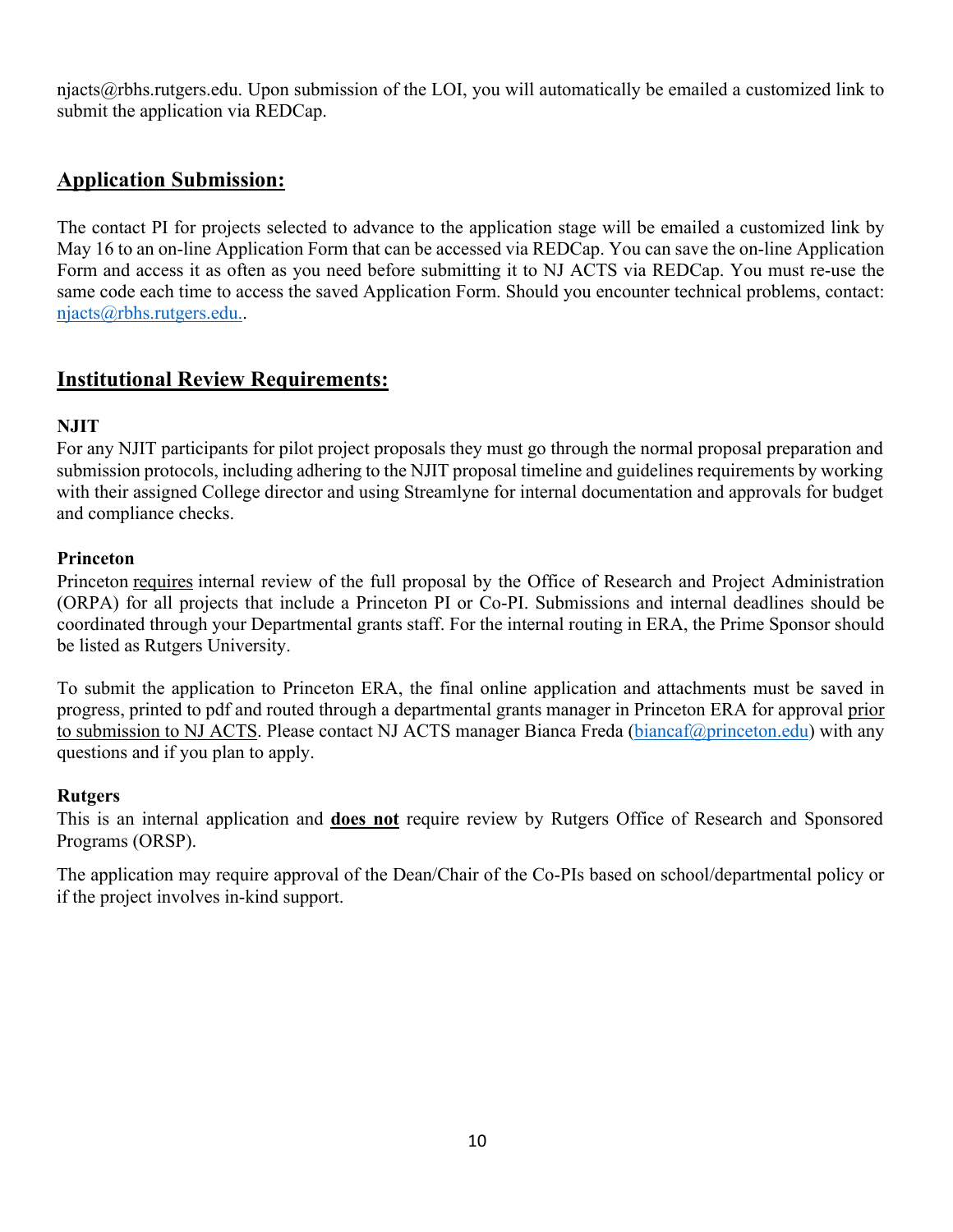njacts $\omega$ rbhs.rutgers.edu. Upon submission of the LOI, you will automatically be emailed a customized link to submit the application via REDCap.

### **Application Submission:**

The contact PI for projects selected to advance to the application stage will be emailed a customized link by May 16 to an on-line Application Form that can be accessed via REDCap. You can save the on-line Application Form and access it as often as you need before submitting it to NJ ACTS via REDCap. You must re-use the same code each time to access the saved Application Form. Should you encounter technical problems, contact: njacts@rbhs.rutgers.edu..

### **Institutional Review Requirements:**

#### **NJIT**

For any NJIT participants for pilot project proposals they must go through the normal proposal preparation and submission protocols, including adhering to the NJIT proposal timeline and guidelines requirements by working with their assigned College director and using Streamlyne for internal documentation and approvals for budget and compliance checks.

#### **Princeton**

Princeton requires internal review of the full proposal by the Office of Research and Project Administration (ORPA) for all projects that include a Princeton PI or Co-PI. Submissions and internal deadlines should be coordinated through your Departmental grants staff. For the internal routing in ERA, the Prime Sponsor should be listed as Rutgers University.

To submit the application to Princeton ERA, the final online application and attachments must be saved in progress, printed to pdf and routed through a departmental grants manager in Princeton ERA for approval prior to submission to NJ ACTS. Please contact NJ ACTS manager Bianca Freda (biancaf@princeton.edu) with any questions and if you plan to apply.

#### **Rutgers**

This is an internal application and **does not** require review by Rutgers Office of Research and Sponsored Programs (ORSP).

The application may require approval of the Dean/Chair of the Co-PIs based on school/departmental policy or if the project involves in-kind support.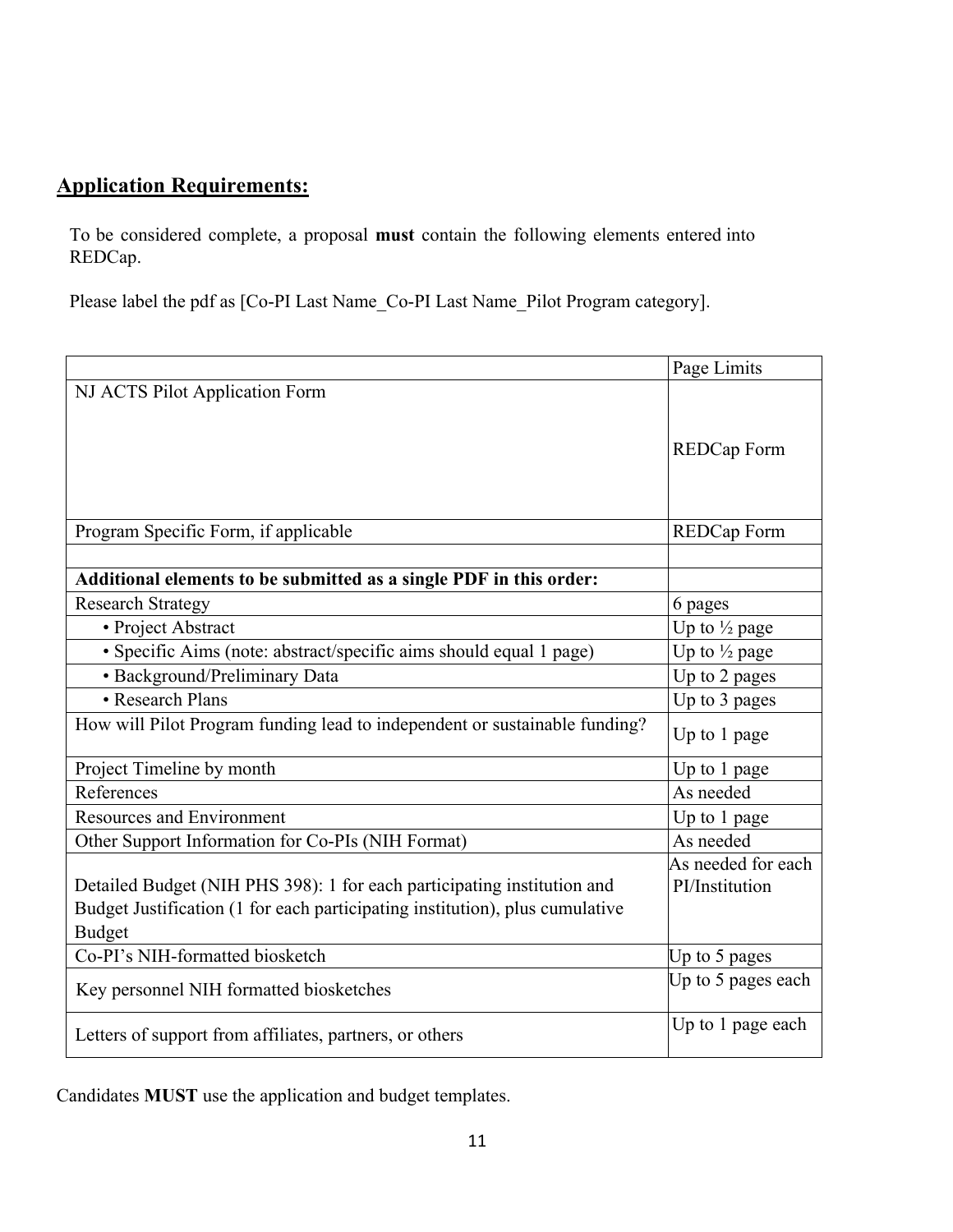## **Application Requirements:**

To be considered complete, a proposal **must** contain the following elements entered into REDCap.

Please label the pdf as [Co-PI Last Name\_Co-PI Last Name\_Pilot Program category].

|                                                                              | Page Limits              |
|------------------------------------------------------------------------------|--------------------------|
| NJ ACTS Pilot Application Form                                               |                          |
|                                                                              |                          |
|                                                                              | <b>REDCap Form</b>       |
|                                                                              |                          |
|                                                                              |                          |
| Program Specific Form, if applicable                                         | <b>REDCap Form</b>       |
|                                                                              |                          |
| Additional elements to be submitted as a single PDF in this order:           |                          |
| <b>Research Strategy</b>                                                     | 6 pages                  |
| • Project Abstract                                                           | Up to $\frac{1}{2}$ page |
| · Specific Aims (note: abstract/specific aims should equal 1 page)           | Up to 1/2 page           |
| · Background/Preliminary Data                                                | Up to 2 pages            |
| • Research Plans                                                             | Up to 3 pages            |
| How will Pilot Program funding lead to independent or sustainable funding?   | Up to 1 page             |
| Project Timeline by month                                                    | Up to 1 page             |
| References                                                                   | As needed                |
| <b>Resources and Environment</b>                                             | Up to 1 page             |
| Other Support Information for Co-PIs (NIH Format)                            | As needed                |
|                                                                              | As needed for each       |
| Detailed Budget (NIH PHS 398): 1 for each participating institution and      | PI/Institution           |
| Budget Justification (1 for each participating institution), plus cumulative |                          |
| <b>Budget</b>                                                                |                          |
| Co-PI's NIH-formatted biosketch                                              | Up to 5 pages            |
| Key personnel NIH formatted biosketches                                      | Up to 5 pages each       |
| Letters of support from affiliates, partners, or others                      | Up to 1 page each        |

Candidates **MUST** use the application and budget templates.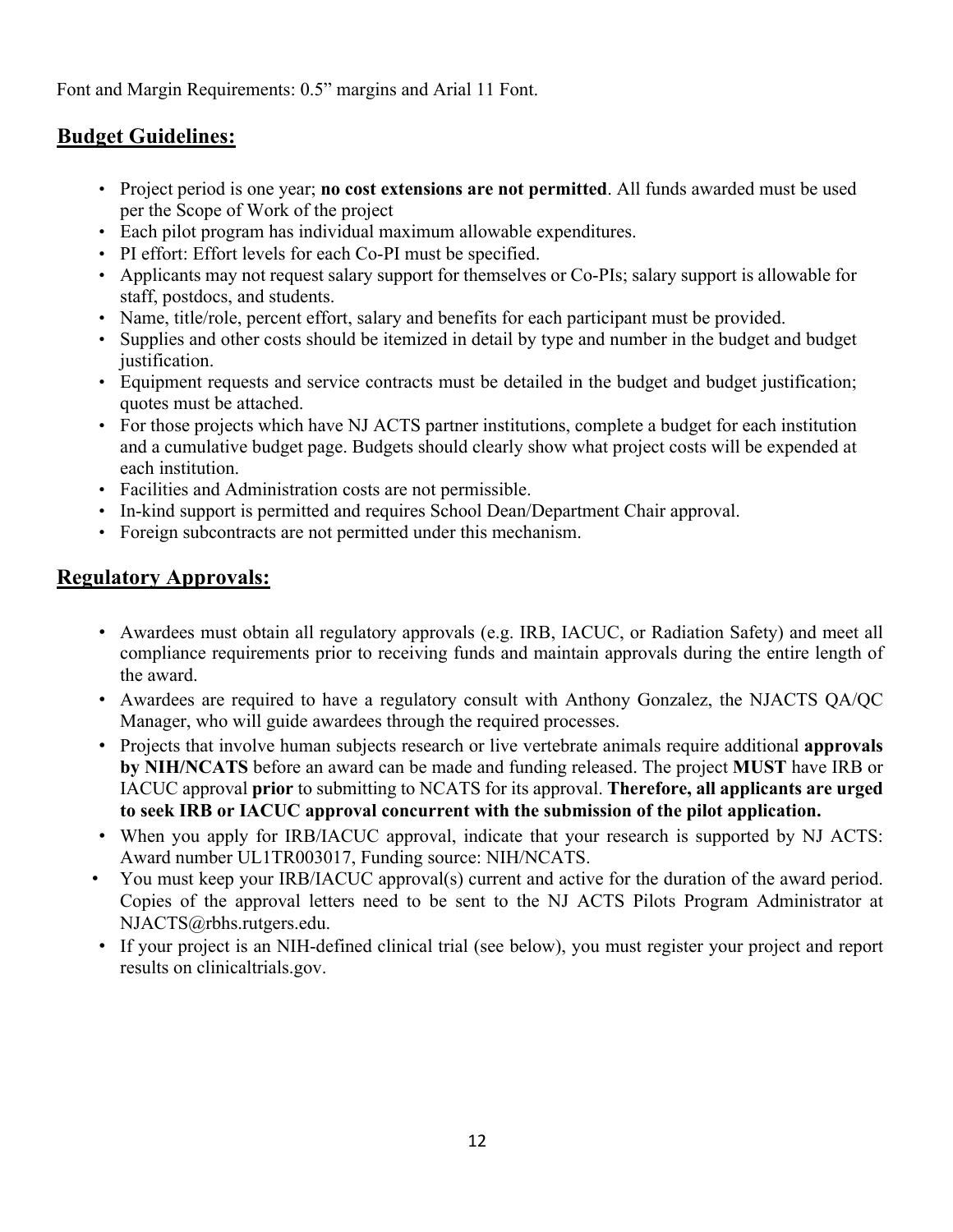Font and Margin Requirements: 0.5" margins and Arial 11 Font.

### **Budget Guidelines:**

- Project period is one year; **no cost extensions are not permitted**. All funds awarded must be used per the Scope of Work of the project
- Each pilot program has individual maximum allowable expenditures.
- PI effort: Effort levels for each Co-PI must be specified.
- Applicants may not request salary support for themselves or Co-PIs; salary support is allowable for staff, postdocs, and students.
- Name, title/role, percent effort, salary and benefits for each participant must be provided.
- Supplies and other costs should be itemized in detail by type and number in the budget and budget justification.
- Equipment requests and service contracts must be detailed in the budget and budget justification; quotes must be attached.
- For those projects which have NJ ACTS partner institutions, complete a budget for each institution and a cumulative budget page. Budgets should clearly show what project costs will be expended at each institution.
- Facilities and Administration costs are not permissible.
- In-kind support is permitted and requires School Dean/Department Chair approval.
- Foreign subcontracts are not permitted under this mechanism.

### **Regulatory Approvals:**

- Awardees must obtain all regulatory approvals (e.g. IRB, IACUC, or Radiation Safety) and meet all compliance requirements prior to receiving funds and maintain approvals during the entire length of the award.
- Awardees are required to have a regulatory consult with Anthony Gonzalez, the NJACTS QA/QC Manager, who will guide awardees through the required processes.
- Projects that involve human subjects research or live vertebrate animals require additional **approvals by NIH/NCATS** before an award can be made and funding released. The project **MUST** have IRB or IACUC approval **prior** to submitting to NCATS for its approval. **Therefore, all applicants are urged to seek IRB or IACUC approval concurrent with the submission of the pilot application.**
- When you apply for IRB/IACUC approval, indicate that your research is supported by NJ ACTS: Award number UL1TR003017, Funding source: NIH/NCATS.
- You must keep your IRB/IACUC approval(s) current and active for the duration of the award period. Copies of the approval letters need to be sent to the NJ ACTS Pilots Program Administrator at NJACTS@rbhs.rutgers.edu.
- If your project is an NIH-defined clinical trial (see below), you must register your project and report results on clinicaltrials.gov.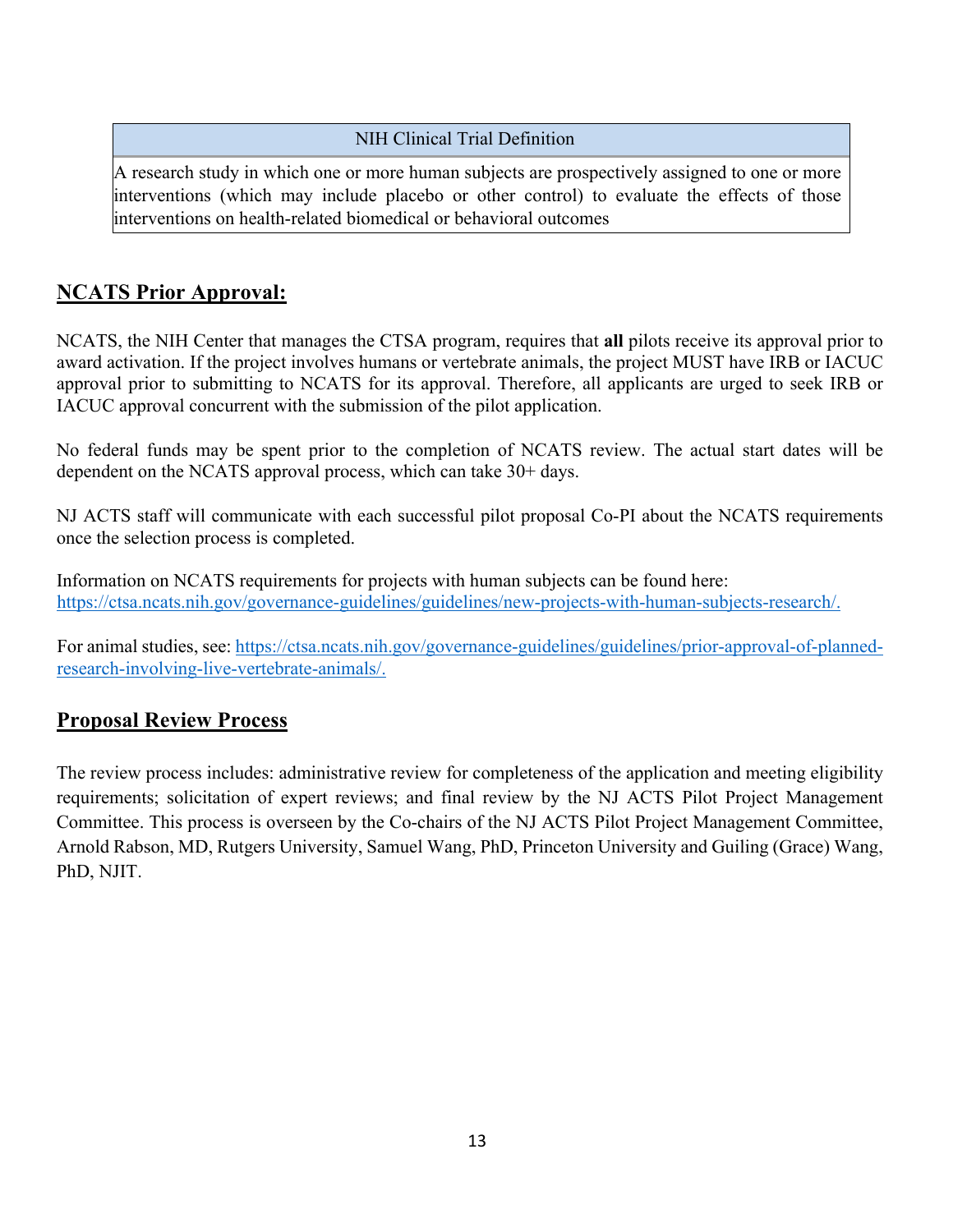#### NIH Clinical Trial Definition

A research study in which one or more human subjects are prospectively assigned to one or more interventions (which may include placebo or other control) to evaluate the effects of those interventions on health-related biomedical or behavioral outcomes

### **NCATS Prior Approval:**

NCATS, the NIH Center that manages the CTSA program, requires that **all** pilots receive its approval prior to award activation. If the project involves humans or vertebrate animals, the project MUST have IRB or IACUC approval prior to submitting to NCATS for its approval. Therefore, all applicants are urged to seek IRB or IACUC approval concurrent with the submission of the pilot application.

No federal funds may be spent prior to the completion of NCATS review. The actual start dates will be dependent on the NCATS approval process, which can take 30+ days.

NJ ACTS staff will communicate with each successful pilot proposal Co-PI about the NCATS requirements once the selection process is completed.

Information on NCATS requirements for projects with human subjects can be found here: https://ctsa.ncats.nih.gov/governance-guidelines/guidelines/new-projects-with-human-subjects-research/.

For animal studies, see: https://ctsa.ncats.nih.gov/governance-guidelines/guidelines/prior-approval-of-plannedresearch-involving-live-vertebrate-animals/.

### **Proposal Review Process**

The review process includes: administrative review for completeness of the application and meeting eligibility requirements; solicitation of expert reviews; and final review by the NJ ACTS Pilot Project Management Committee. This process is overseen by the Co-chairs of the NJ ACTS Pilot Project Management Committee, Arnold Rabson, MD, Rutgers University, Samuel Wang, PhD, Princeton University and Guiling (Grace) Wang, PhD, NJIT.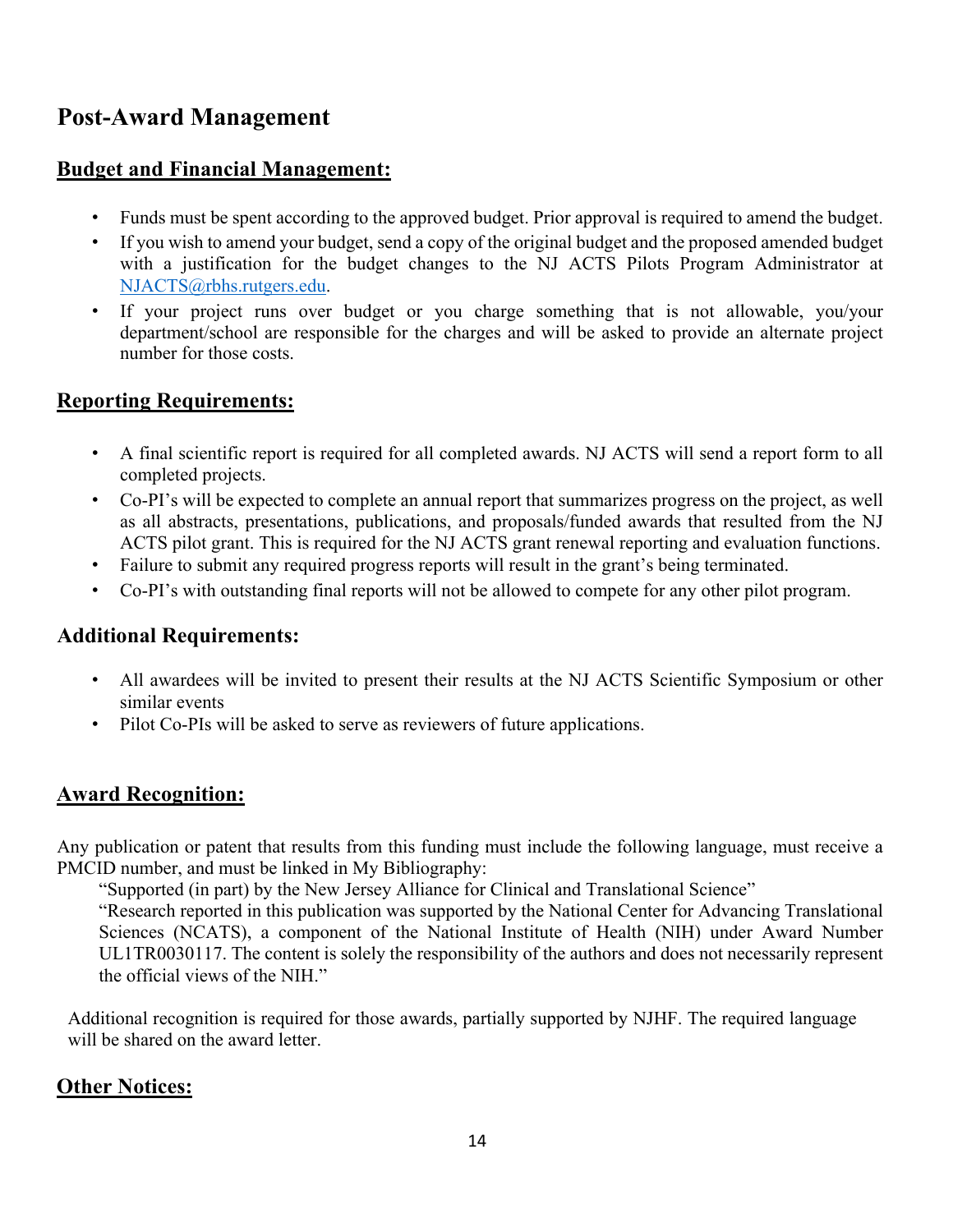## **Post-Award Management**

### **Budget and Financial Management:**

- Funds must be spent according to the approved budget. Prior approval is required to amend the budget.
- If you wish to amend your budget, send a copy of the original budget and the proposed amended budget with a justification for the budget changes to the NJ ACTS Pilots Program Administrator at NJACTS@rbhs.rutgers.edu.
- If your project runs over budget or you charge something that is not allowable, you/your department/school are responsible for the charges and will be asked to provide an alternate project number for those costs.

### **Reporting Requirements:**

- A final scientific report is required for all completed awards. NJ ACTS will send a report form to all completed projects.
- Co-PI's will be expected to complete an annual report that summarizes progress on the project, as well as all abstracts, presentations, publications, and proposals/funded awards that resulted from the NJ ACTS pilot grant. This is required for the NJ ACTS grant renewal reporting and evaluation functions.
- Failure to submit any required progress reports will result in the grant's being terminated.
- Co-PI's with outstanding final reports will not be allowed to compete for any other pilot program.

### **Additional Requirements:**

- All awardees will be invited to present their results at the NJ ACTS Scientific Symposium or other similar events
- Pilot Co-PIs will be asked to serve as reviewers of future applications.

### **Award Recognition:**

Any publication or patent that results from this funding must include the following language, must receive a PMCID number, and must be linked in My Bibliography:

"Supported (in part) by the New Jersey Alliance for Clinical and Translational Science"

"Research reported in this publication was supported by the National Center for Advancing Translational Sciences (NCATS), a component of the National Institute of Health (NIH) under Award Number UL1TR0030117. The content is solely the responsibility of the authors and does not necessarily represent the official views of the NIH."

Additional recognition is required for those awards, partially supported by NJHF. The required language will be shared on the award letter.

### **Other Notices:**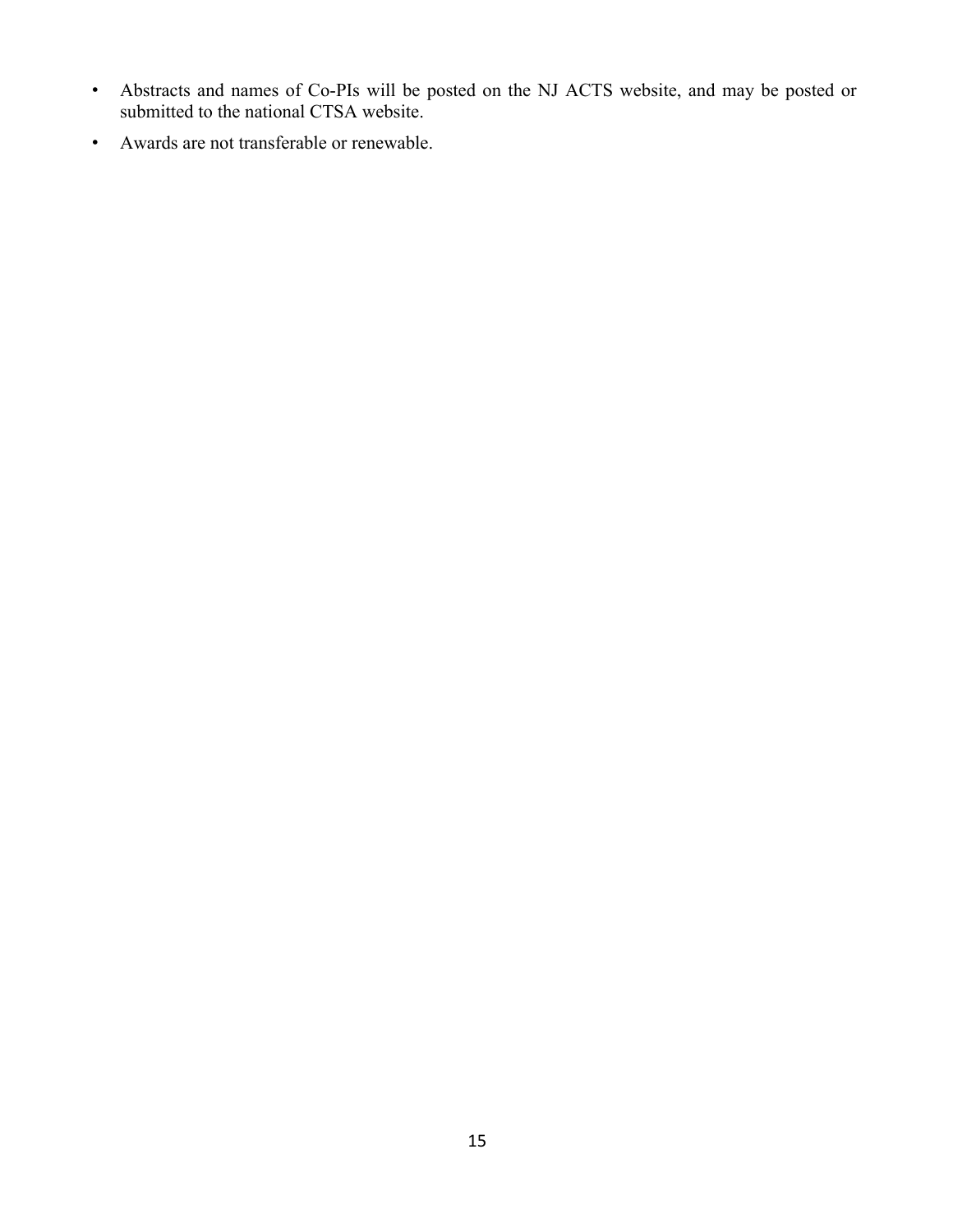- Abstracts and names of Co-PIs will be posted on the NJ ACTS website, and may be posted or submitted to the national CTSA website.
- Awards are not transferable or renewable.